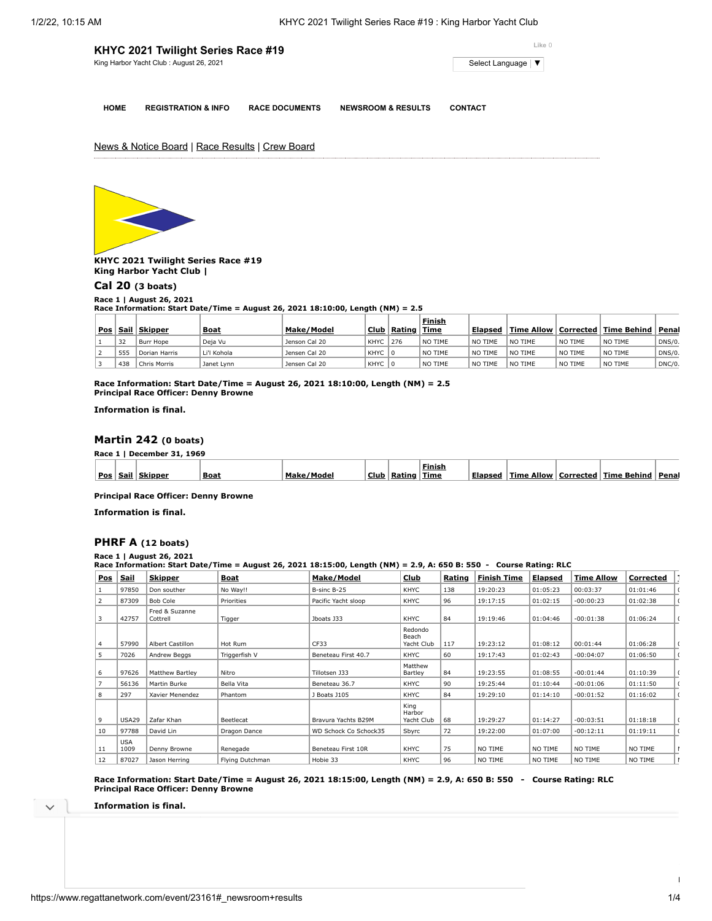| KHYC 2021 Twilight Series Race #19       | Like 0              |
|------------------------------------------|---------------------|
| King Harbor Yacht Club : August 26, 2021 | Select Language   ▼ |
|                                          |                     |

**HOME REGISTRATION & INFO RACE DOCUMENTS NEWSROOM & RESULTS CONTACT**

News & Notice Board | Race Results | Crew Board



**KHYC 2021 Twilight Series Race #19 King Harbor Yacht Club |**

## **[Cal 20](https://www.regattanetwork.com/clubmgmt/applet_race_scores_khyc.php?regatta_id=23161&race_num=1) (3 boats)**

### **Race 1 | August 26, 2021**

**Race Information: Start Date/Time = August 26, 2021 18:10:00, Length (NM) = 2.5**

|     |      |               |             |               |             |        | Finish  |                        |                          |         |                    |        |
|-----|------|---------------|-------------|---------------|-------------|--------|---------|------------------------|--------------------------|---------|--------------------|--------|
| Pos | Sail | Skipper       | <b>Boat</b> | Make/Model    | <b>Club</b> | Rating | Time    | Elapsed                | ∣ Time Allow   Corrected |         | $\mid$ Time Behind | Penal  |
|     | 32   | Burr Hope     | Deja Vu     | Jenson Cal 20 | <b>KHYC</b> | 276    | NO TIME | NO TIME                | NO TIME                  | NO TIME | NO TIME            | DNS/0. |
|     | 555  | Dorian Harris | Li'l Kohola | Jensen Cal 20 | KHYC        |        | NO TIME | N <sub>O</sub><br>TIME | NO TIME                  | NO TIME | NO TIME            | DNS/0. |
|     | 438  | Chris Morris  | Janet Lynn  | Jensen Cal 20 | <b>KHYC</b> |        | NO TIME | ∖ NO<br>TIME           | NO TIME                  | NO TIME | NO TIME            | DNC/0. |

**Race Information: Start Date/Time = August 26, 2021 18:10:00, Length (NM) = 2.5 Principal Race Officer: Denny Browne**

**Information is final.**

## **[Martin 242](https://www.regattanetwork.com/clubmgmt/applet_race_scores_khyc.php?regatta_id=23161&race_num=1) (0 boats)**

**Race 1 | December 31, 1969**

|     |      |         |      |    |      | Finisl |         |               |     |                |      |
|-----|------|---------|------|----|------|--------|---------|---------------|-----|----------------|------|
| Pos | sail | Skipper | Boat | м. | Club | Time   | Elanseo | Allow<br>Γım€ | ted | Behinc<br>Time | Pena |

**Principal Race Officer: Denny Browne**

**Information is final.**

## **[PHRF A](https://www.regattanetwork.com/clubmgmt/applet_race_scores_khyc.php?regatta_id=23161&race_num=1) (12 boats)**

**Race 1 | August 26, 2021 Race Information: Start Date/Time = August 26, 2021 18:15:00, Length (NM) = 2.9, A: 650 B: 550 - Course Rating: RLC**

| <u>Pos</u> | <b>Sail</b>        | Skipper                    | <u>Boat</u>     | Make/Model            | <b>Club</b>                    | Rating | <b>Finish Time</b> | <u>Elapsed</u> | <b>Time Allow</b> | Corrected |
|------------|--------------------|----------------------------|-----------------|-----------------------|--------------------------------|--------|--------------------|----------------|-------------------|-----------|
|            | 97850              | Don souther                | No Way!!        | B-sinc B-25           | <b>KHYC</b>                    | 138    | 19:20:23           | 01:05:23       | 00:03:37          | 01:01:46  |
|            | 87309              | Bob Cole                   | Priorities      | Pacific Yacht sloop   | <b>KHYC</b>                    | 96     | 19:17:15           | 01:02:15       | $-00:00:23$       | 01:02:38  |
|            | 42757              | Fred & Suzanne<br>Cottrell | Tigger          | Jboats J33            | <b>KHYC</b>                    | 84     | 19:19:46           | 01:04:46       | $-00:01:38$       | 01:06:24  |
| 4          | 57990              | Albert Castillon           | Hot Rum         | CF33                  | Redondo<br>Beach<br>Yacht Club | 117    | 19:23:12           | 01:08:12       | 00:01:44          | 01:06:28  |
| 5          | 7026               | Andrew Beggs               | Triggerfish V   | Beneteau First 40.7   | KHYC                           | 60     | 19:17:43           | 01:02:43       | $-00:04:07$       | 01:06:50  |
| 6          | 97626              | Matthew Bartley            | Nitro           | Tillotsen J33         | Matthew<br>Bartley             | 84     | 19:23:55           | 01:08:55       | $-00:01:44$       | 01:10:39  |
|            | 56136              | Martin Burke               | Bella Vita      | Beneteau 36.7         | KHYC                           | 90     | 19:25:44           | 01:10:44       | $-00:01:06$       | 01:11:50  |
| 8          | 297                | Xavier Menendez            | Phantom         | J Boats J105          | KHYC                           | 84     | 19:29:10           | 01:14:10       | $-00:01:52$       | 01:16:02  |
| 9          | <b>USA29</b>       | Zafar Khan                 | Beetlecat       | Bravura Yachts B29M   | King<br>Harbor<br>Yacht Club   | 68     | 19:29:27           | 01:14:27       | $-00:03:51$       | 01:18:18  |
| 10         | 97788              | David Lin                  | Dragon Dance    | WD Schock Co Schock35 | Sbyrc                          | 72     | 19:22:00           | 01:07:00       | $-00:12:11$       | 01:19:11  |
| 11         | <b>USA</b><br>1009 | Denny Browne               | Renegade        | Beneteau First 10R    | <b>KHYC</b>                    | 75     | NO TIME            | NO TIME        | NO TIME           | NO TIME   |
| 12         | 87027              | Jason Herring              | Flying Dutchman | Hobie 33              | <b>KHYC</b>                    | 96     | NO TIME            | NO TIME        | NO TIME           | NO TIME   |

**Race Information: Start Date/Time = August 26, 2021 18:15:00, Length (NM) = 2.9, A: 650 B: 550 - Course Rating: RLC Principal Race Officer: Denny Browne**

**Information is final.**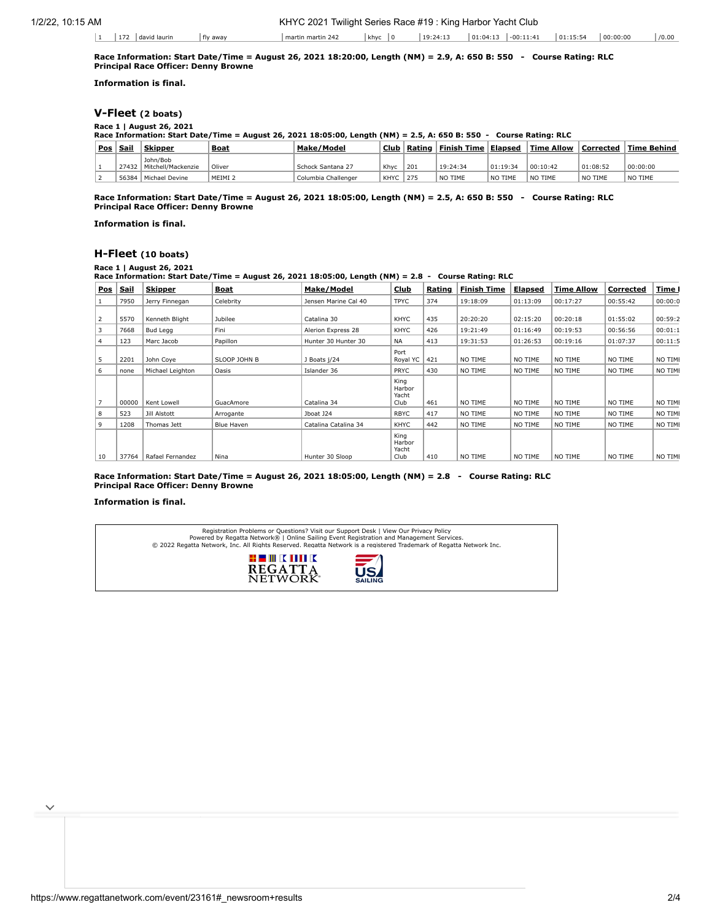1 172 david laurin fly away martin martin 242 khyc 0 19:24:13 01:04:13 -00:11:41 01:15:54 00:00:00 /0.00

**Race Information: Start Date/Time = August 26, 2021 18:20:00, Length (NM) = 2.9, A: 650 B: 550 - Course Rating: RLC Principal Race Officer: Denny Browne**

**Information is final.**

# **[V-Fleet](https://www.regattanetwork.com/clubmgmt/applet_race_scores_khyc.php?regatta_id=23161&race_num=1) (2 boats)**

|  | Race 1   August 26, 2021 |  |
|--|--------------------------|--|
|  |                          |  |

|     | Race Information: Start Date/Time = August 26, 2021 18:05:00, Length (NM) = 2.5, A: 650 B: 550 - Course Rating: RLC |                                        |                    |                     |             |             |             |          |                   |           |             |  |
|-----|---------------------------------------------------------------------------------------------------------------------|----------------------------------------|--------------------|---------------------|-------------|-------------|-------------|----------|-------------------|-----------|-------------|--|
| Pos | Sail                                                                                                                | <b>Skipper</b>                         | <b>Boat</b>        | Make/Model          | Club        | Rating      | Finish Time | Elapsed  | <b>Time Allow</b> | Corrected | Time Behind |  |
|     |                                                                                                                     | John/Bob<br>27432   Mitchell/Mackenzie | Oliver             | Schock Santana 27   | Khyc        | 201         | 19:24:34    | 01:19:34 | 00:10:42          | 01:08:52  | 00:00:00    |  |
|     |                                                                                                                     | 56384   Michael Devine                 | MEIMI <sub>2</sub> | Columbia Challenger | <b>KHYC</b> | $\vert$ 275 | NO TIME     | NO TIME  | NO TIME           | NO TIME   | NO TIME     |  |

**Race Information: Start Date/Time = August 26, 2021 18:05:00, Length (NM) = 2.5, A: 650 B: 550 - Course Rating: RLC Principal Race Officer: Denny Browne**

**Information is final.**

## **[H-Fleet](https://www.regattanetwork.com/clubmgmt/applet_race_scores_khyc.php?regatta_id=23161&race_num=1) (10 boats)**

### **Race 1 | August 26, 2021**

**Race Information: Start Date/Time = August 26, 2021 18:05:00, Length (NM) = 2.8 - Course Rating: RLC**

| <u>Pos</u>     | Sail         | <b>Skipper</b>             | <b>Boat</b>     | Make/Model                        | <b>Club</b>                     | Rating     | <b>Finish Time</b>   | <b>Elapsed</b>       | <b>Time Allow</b>    | Corrected            | Time I             |
|----------------|--------------|----------------------------|-----------------|-----------------------------------|---------------------------------|------------|----------------------|----------------------|----------------------|----------------------|--------------------|
|                | 7950         | Jerry Finnegan             | Celebrity       | Jensen Marine Cal 40              | <b>TPYC</b>                     | 374        | 19:18:09             | 01:13:09             | 00:17:27             | 00:55:42             | 00:00:0            |
| 2<br>3         | 5570<br>7668 | Kenneth Blight<br>Bud Legg | Jubilee<br>Fini | Catalina 30<br>Alerion Express 28 | KHYC<br>KHYC                    | 435<br>426 | 20:20:20<br>19:21:49 | 02:15:20<br>01:16:49 | 00:20:18<br>00:19:53 | 01:55:02<br>00:56:56 | 00:59:2<br>00:01:1 |
| 4              | 123          | Marc Jacob                 | Papillon        | Hunter 30 Hunter 30               | <b>NA</b>                       | 413        | 19:31:53             | 01:26:53             | 00:19:16             | 01:07:37             | 00:11:5            |
| 5              | 2201         | John Cove                  | SLOOP JOHN B    | J Boats j/24                      | Port<br>Royal YC                | 421        | NO TIME              | NO TIME              | NO TIME              | NO TIME              | NO TIMI            |
| 6              | none         | Michael Leighton           | Oasis           | Islander 36                       | <b>PRYC</b>                     | 430        | NO TIME              | NO TIME              | NO TIME              | NO TIME              | NO TIMI            |
| $\overline{7}$ | 00000        | Kent Lowell                | GuacAmore       | Catalina 34                       | King<br>Harbor<br>Yacht<br>Club | 461        | NO TIME              | NO TIME              | NO TIME              | NO TIME              | NO TIMI            |
| 8              | 523          | Jill Alstott               | Arrogante       | Jboat J24                         | <b>RBYC</b>                     | 417        | NO TIME              | NO TIME              | NO TIME              | NO TIME              | NO TIMI            |
| 9              | 1208         | Thomas Jett                | Blue Haven      | Catalina Catalina 34              | KHYC                            | 442        | NO TIME              | NO TIME              | NO TIME              | NO TIME              | NO TIMI            |
| 10             | 37764        | Rafael Fernandez           | Nina            | Hunter 30 Sloop                   | King<br>Harbor<br>Yacht<br>Club | 410        | NO TIME              | NO TIME              | NO TIME              | NO TIME              | NO TIMI            |

**Race Information: Start Date/Time = August 26, 2021 18:05:00, Length (NM) = 2.8 - Course Rating: RLC Principal Race Officer: Denny Browne**

#### **Information is final.**

Registration Problems or Questions? [Visit our Support Desk](http://support.regattanetwork.com/) | [View Our Privacy Policy](https://www.regattanetwork.com/html/privacy.html)<br>[Powered by Regatta Network®](http://www.regattanetwork.com/) | Online Sailing Event Registration and Management Services.<br>© 2022 [Regatta Network](http://www.regattanetwork.com/), Inc. All Rights Reserved





 $\checkmark$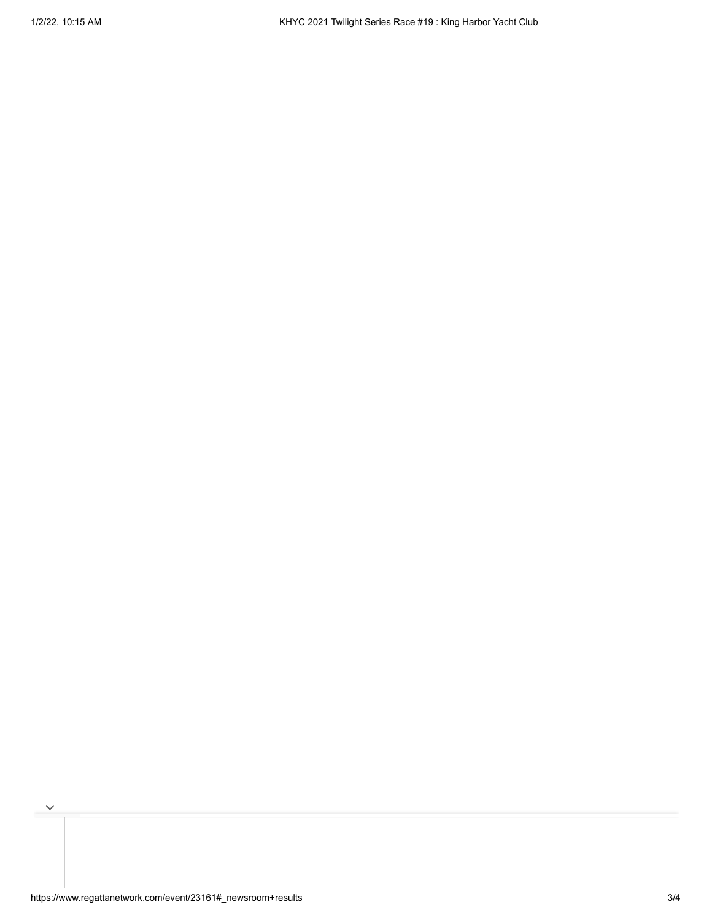$\vee$